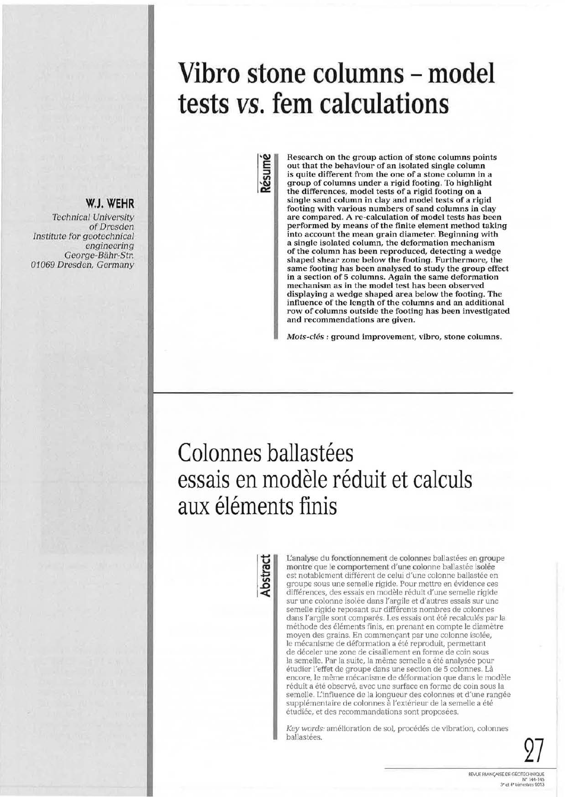# **Vibro stone columns - model tests vs. fem calculations**

**Résumé**

**Research on the group action of stone columns points out that the behaviour of an isolated single column is quite different from the one of a stone column in a group of columns under a rigid footing. To highlight the differences, model tests of a rigid footing on a single sand column in clay and model tests of a rigid footing with various numbers of sand columns in clay are compared. A re-calculation of model tests has been performed by means of the finite element method taking into account the mean grain diameter. Beginning with a single isolated column, the deformation mechanism of the column has been reproduced, detecting a wedge shaped shear zone below the footing. Furthermore, the same footing has been analysed to study the group effect in a section of 5 columns. Again the same deformation mechanism as in the model test has been observed displaying a wedge shaped area below the footing. The influence of the length of the columns and an additional row of columns outside the footing has been investigated and recommendations are given.**

*Mots-clés :* **ground improvement, vibro, stone columns.**

# Colonnes ballastées essais en modèle réduit et calculs aux éléments finis

**Abstract**

**L'analyse** du **fonctionnement** de **colonnes** ballastées en **groupe montre** que le **comportement d'une** colonne ballastée **isolée** est notablement différent de celui d'une colonne ballastée en groupe sous une semelle rigide. Pour mettre en évidence ces différences, des essais en modèle réduit d'une semelle rigide sur une colonne isolée dans l'argile et d'autres essais sur une semelle rigide reposant sur différents nombres de colonnes dans l'argile sont comparés. Les essais ont été recalculés par la méthode des éléments finis, en prenant en compte le diamètre moyen des grains. En commençant par une colonne isolée, le mécanisme de déformation a été reproduit, permettant de déceler une zone de cisaillement en forme de coin sous la semelle. Par la suite, la même semelle a été analysée pour étudier l'effet de groupe dans une section de 5 colonnes. Là encore, le même mécanisme de déformation que dans le modèle réduit a été observé, avec une surface en forme de coin sous la semelle. L'influence de la longueur des colonnes et d'une rangée supplémentaire de colonnes à l'extérieur de la semelle a été étudiée, et des recommandations sont proposées.

*Key words:* amélioration de sol, procédés de vibration, colonnes ballastées.



**W.J. WEHR**

*of Dresden*

*engineering George-Bähr-Str.*

*Technical University*

*Institute for geotechnical*

*01069 Dresden, Germany*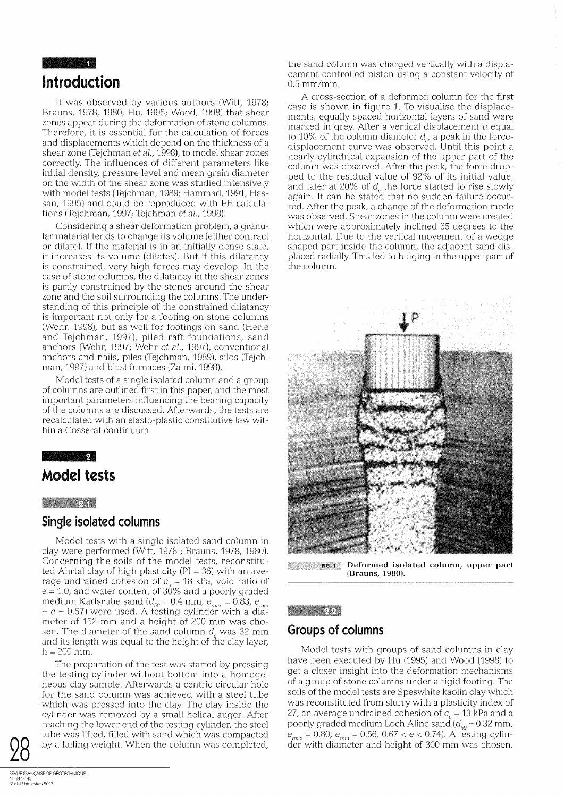# **Introduction**

It was observed by various authors (Witt, 1978; Brauns, 1978, 1980; Hu, 1995; Wood, 1998) that shear zones appear during the deformation of stone columns. Therefore, it is essential for the calculation of forces and displacements which depend on the thickness of a shear zone (Tejchman *et al.,* 1998), to model shear zones correctly. The influences of different parameters like initial density, pressure level and mean grain diameter on the width of the shear zone was studied intensively with model tests (Tejchman, 1989; Hammad, 1991; Hassan, 1995) and could be reproduced with FE-calculations (Tejchman, 1997; Tejchman *et al.,* 1998).

Considering a shear deformation problem, a granular material tends to change its volume (either contract or dilate). If the material is in an initially dense state, it increases its volume (dilates). But if this dilatancy is constrained, very high forces may develop. In the case of stone columns, the dilatancy in the shear zones is partly constrained by the stones around the shear zone and the soil surrounding the columns. The understanding of this principle of the constrained dilatancy is important not only for a footing on stone columns (Wehr, 1998), but as well for footings on sand (Herle and Tejchman, 1997), piled raft foundations, sand anchors (Wehr, 1997; Wehr *et al.,* 1997), conventional anchors and nails, piles (Tejchman, 1989), silos (Tejchman, 1997) and blast furnaces (Zaimi, 1998).

Model tests of a single isolated column and a group of columns are outlined first in this paper, and the most important parameters influencing the bearing capacity of the columns are discussed. Afterwards, the tests are recalculated with an elasto-plastic constitutive law within a Cosserat continuum.

### $\overline{2}$

## **Model tests**

### $2.48$

### **Single isolated columns**

Model tests with a single isolated sand column in clay were performed (Witt, 1978 ; Brauns, 1978, 1980). Concerning the soils of the model tests, reconstituted Ahrtal clay of high plasticity ( $PI = 36$ ) with an average undrained cohesion of  $c_u = 18$  kPa, void ratio of  $e = 1.0$ , and water content of  $30\%$  and a poorly graded medium Karlsruhe sand ( $d_{50} = 0.4$  mm,  $e_{max} = 0.83$ ,  $e_{min}$ )  $= e = 0.57$ ) were used. A testing cylinder with a diameter of 152 mm and a height of 200 mm was chosen. The diameter of the sand column  $d_a$  was 32 mm and its length was equal to the height of the clay layer,  $h = 200$  mm.

The preparation of the test was started by pressing the testing cylinder without bottom into a homogeneous clay sample. Afterwards a centric circular hole for the sand column was achieved with a steel tube which was pressed into the clay. The clay inside the cylinder was removed by a small helical auger. After reaching the lower end of the testing cylinder, the steel tube was lifted, filled with sand which was compacted by a falling weight. When the column was completed,

the sand column was charged vertically with a displacement controlled piston using a constant velocity of 0.5 mm/min.

A cross-section of a deformed column for the first case is shown in figure 1. To visualise the displacements, equally spaced horizontal layers of sand were marked in grey. After a vertical displacement  $u$  equal to 10% of the column diameter  $d_{\alpha}$  a peak in the forcedisplacement curve was observed. Until this point a nearly cylindrical expansion of the upper part of the column was observed. After the peak, the force dropped to the residual value of 92% of its initial value, and later at 20% of  $d_c$  the force started to rise slowly again. It can be stated that no sudden failure occurred. After the peak, a change of the deformation mode was observed. Shear zones in the column were created which were approximately inclined 65 degrees to the horizontal. Due to the vertical movement of a wedge shaped part inside the column, the adjacent sand displaced radially. This led to bulging in the upper part of the column.



FIG. 1 **Deformed isolated column, upper part (Brauns, 1980).**

### $2.2$

### **Groups of columns**

Model tests with groups of sand columns in clay have been executed by Hu (1995) and Wood (1998) to get a closer insight into the deformation mechanisms of a group of stone columns under a rigid footing. The soils of the model tests are Speswhite kaolin clay which was reconstituted from slurry with a plasticity index of 27, an average undrained cohesion of  $c<sub>u</sub> = 13$  kPa and a poorly graded medium Loch Aline sand  $(d_{50} = 0.32 \text{ mm})$ ,  $e_{\text{max}} = 0.80$ ,  $e_{\text{min}} = 0.56$ , 0.67  $< e < 0.74$ ). A testing cylinder with diameter and height of 300 mm was chosen.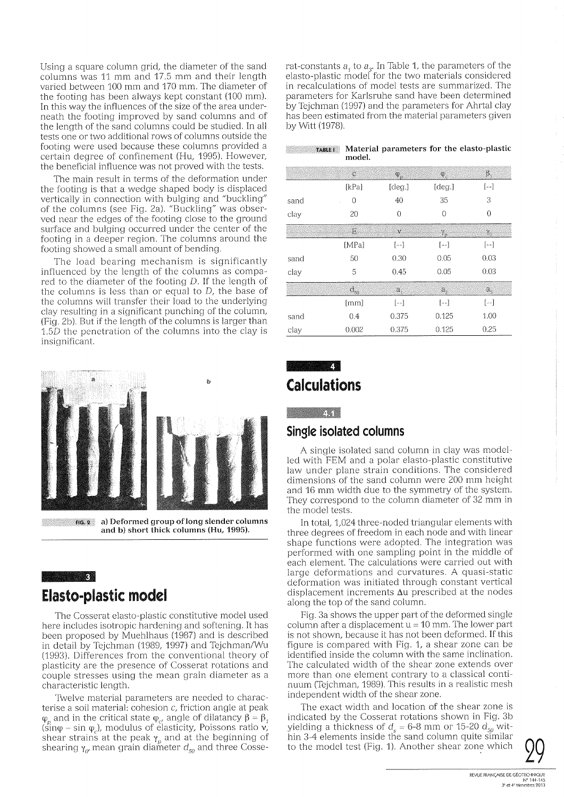Using a square column grid, the diameter of the sand columns was 11 mm and 17.5 mm and their length varied between 100 mm and 170 mm. The diameter of the footing has been always kept constant (100 mm). In this way the influences of the size of the area underneath the footing improved by sand columns and of the length of the sand columns could be studied. In all tests one or two additional rows of columns outside the footing were used because these columns provided a certain degree of confinement (Hu, 1995). However, the beneficial influence was not proved with the tests.

The main result in terms of the deformation under the footing is that a wedge shaped body is displaced vertically in connection with bulging and "buckling" of the columns (see Fig. 2a). "Buckling" was observed near the edges of the footing close to the ground surface and bulging occurred under the center of the footing in a deeper region. The columns around the footing showed a small amount of bending.

The load bearing mechanism is significantly influenced by the length of the columns as compared to the diameter of the footing *D.* If the length of the columns is less than or equal to  $D$ , the base of the columns will transfer their load to the underlying day resulting in a significant punching of the column, (Fig. 2b). But if the length of the columns is larger than 1.5D the penetration of the columns into the clay is insignificant.



fig. 2 **a) Deformed group of long slender columns and b) short thick columns (Hu, 1995).**

# **Elasto-plastic model**

3 **|**

The Cosserat elasto-plastic constitutive model used here includes isotropic hardening and softening. It has been proposed by Muehlhaus (1987) and is described in detail by Tejchman (1989, 1997) and Tejchman/Wu (1993). Differences from the conventional theory of plasticity are the presence of Cosserat rotations and couple stresses using the mean grain diameter as a characteristic length.

Twelve material parameters are needed to characterise a soil material: cohesion c, friction angle at peak  $p_p$  and in the critical state  $\varphi_{c'}$  angle of dilatancy  $\beta =$  $\varphi_p$  and in the erriform state  $\varphi_c$ , angle of elasticity, poissons ratio  $\mathbf{v}_r$ ,  $(\sin \varphi - \sin \varphi_c)$ , modulus of elasticity, Poissons ratio  $\mathbf{v}_r$ shear strains at the peak  $\gamma_p$  and at the beginning of shearing  $\gamma_{\alpha}$  mean grain diameter  $d_{50}$  and three Cosserat-constants  $a<sub>t</sub>$  to  $a<sub>s</sub>$ . In Table 1, the parameters of the elasto-plastic model for the two materials considered in recalculations of model tests are summarized. The parameters for Karlsruhe sand have been determined by Tejchman (1997) and the parameters for Ahrtal clay has been estimated from the material parameters given by Witt (1978).

| <b>TABLE!</b> Material parameters for the elasto-plastic |        |  |  |
|----------------------------------------------------------|--------|--|--|
|                                                          | model. |  |  |

|      | $\mathbf C$ | Q.                  | Ψ.                  | β,                   |
|------|-------------|---------------------|---------------------|----------------------|
|      | [kPa]       | [deg.]              | [deg.]              | $[ - - ]$            |
| sand | 0           | 40                  | 35                  | 3                    |
| clay | 20          | $\Omega$            | $\theta$            | 0                    |
|      | E.          | $\mathbf{v}$        | $\gamma_{\rm o}$    | $\gamma_{\alpha}$    |
|      | [MPa]       | $\left[ -1\right]$  | $[--]$              | $\left[ - - \right]$ |
| sand | 50          | 0.30                | 0.05                | 0.03                 |
| clay | 5           | 0.45                | 0.05                | 0.03                 |
|      | $d_{50}$    | $\mathfrak{a}_e$    | Э.,                 | $\alpha_{\rm s}$     |
|      | [mm]        | $\left[ -1 \right]$ | $\left[ -1 \right]$ | $\left[ -1\right]$   |
| sand | 0.4         | 0.375               | 0.125               | 1.00                 |
| clay | 0.002       | 0.375               | 0.125               | 0.25                 |

# 41 **Calculations**

 $4.1<sub>2</sub>$ 

### **Single isolated columns**

A single isolated sand column in clay was modelled with FEM and a polar elasto-plastic constitutive law under plane strain conditions. The considered dimensions of the sand column were 200 mm height and 16 mm width due to the symmetry of the system. They correspond to the column diameter of 32 mm in the model tests.

In total, 1,024 three-noded triangular elements with three degrees of freedom in each node and with linear shape functions were adopted. The integration was performed with one sampling point in the middle of each element. The calculations were carried out with large deformations and curvatures. A quasi-static deformation was initiated through constant vertical displacement increments Au prescribed at the nodes along the top of the sand column.

Fig. 3a shows the upper part of the deformed single column after a displacement  $u = 10$  mm. The lower part is not shown, because it has not been deformed. If this figure is compared with Fig. 1, a shear zone can be identified inside the column with the same inclination. The calculated width of the shear zone extends over more than one element contrary to a classical continuum (Tejchman, 1989). This results in a realistic mesh independent width of the shear zone.

The exact width and location of the shear zone is indicated by the Cosserat rotations shown in Fig. 3b yielding a thickness of  $d_s = 6-8$  mm or 15-20  $d_{50}$  within 3-4 elements inside the sand column quite similar to the model test (Fig. 1). Another shear zone which

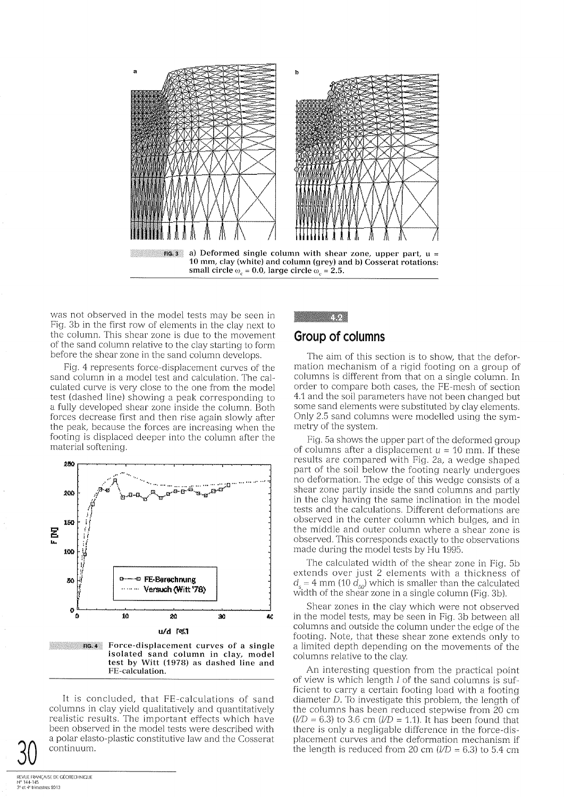

was not observed in the model tests may be seen in Fig. 3b in the first row of elements in the clay next to the column. This shear zone is due to the movement of the sand column relative to the clay starting to form before the shear zone in the sand column develops.

Fig. 4 represents force-displacement curves of the sand column in a model test and calculation. The calculated curve is very close to the one from the model test (dashed line) showing a peak corresponding to a fully developed shear zone inside the column. Both forces decrease first and then rise again slowly after the peak, because the forces are increasing when the footing is displaced deeper into the column after the material softening.



FIG. 4 **Force-displacement curves of a single isolated sand column in clay, model test by Witt (1978) as dashed line and FE-calculation.**

It is concluded, that FE-calculations of sand columns in clay yield gualitatively and quantitatively realistic results. The important effects which have been observed in the model tests were described with a polar elasto-plastic constitutive law and the Cosserat continuum.

# **Group of columns**

 $\mathcal{A},\mathcal{Q}$ 

The aim of this section is to show, that the deformation mechanism of a rigid footing on a group of columns is different from that on a single column. In order to compare both cases, the FE-mesh of section 4.1 and the soil parameters have not been changed but some sand elements were substituted by clay elements. Only 2.5 sand columns were modelled using the symmetry of the system.

Fig. 5a shows the upper part of the deformed group of columns after a displacement  $u = 10$  mm. If these results are compared with Fig. 2a, a wedge shaped part of the soil below the footing nearly undergoes no deformation. The edge of this wedge consists of a shear zone partly inside the sand columns and partly in the clay having the same inclination in the model tests and the calculations. Different deformations are observed in the center column which bulges, and in the middle and outer column where a shear zone is observed. This corresponds exactly to the observations made during the model tests by Hu 1995.

The calculated width of the shear zone in Fig. 5b extends over just 2 elements with a thickness of  $d_{s} = 4$  mm (10  $\tilde{d}_{50}$ ) which is smaller than the calculated width of the shear zone in a single column (Fig. 3b).

Shear zones in the clay which were not observed in the model tests, may be seen in Fig. 3b between all columns and outside the column under the edge of the footing. Note, that these shear zone extends only to a limited depth depending on the movements of the columns relative to the clay.

An interesting question from the practical point of view is which length *1* of the sand columns is sufficient to carry a certain footing load with a footing diameter *D.* To investigate this problem, the length of the columns has been reduced stepwise from 20 cm  $(ND = 6.3)$  to 3.6 cm  $(ND = 1.1)$ . It has been found that there is only a negligable difference in the force-disa polar elasto-plastic constitutive law and the Cosserat placement curves and the deformation mechanism if the length is reduced from 20 cm  $(l/D = 6.3)$  to 5.4 cm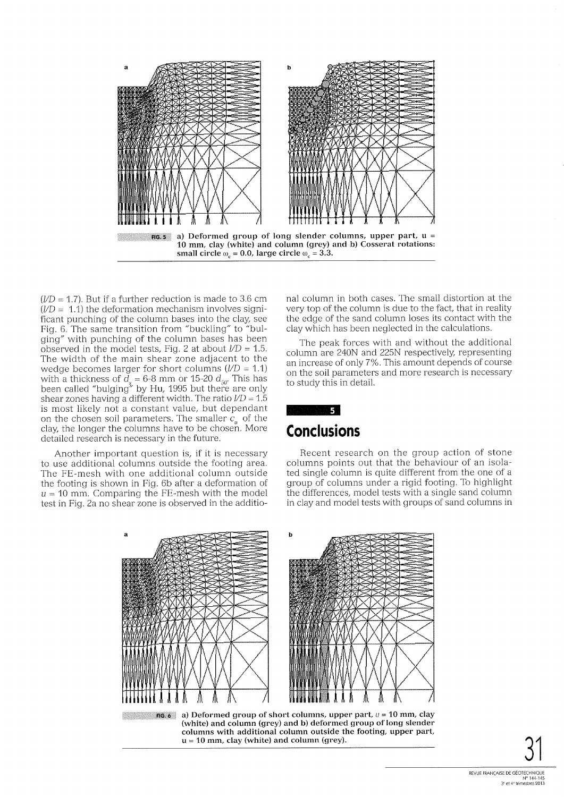

*(1/D =* 1.7). But if a further reduction is made to 3.6 cm  $(I/D = 1.1)$  the deformation mechanism involves significant punching of the column bases into the clay, see Fig. 6. The same transition from "buckling" to "bulging" with punching of the column bases has been observed in the model tests, Fig. 2 at about  $/D = 1.5$ . The width of the main shear zone adjacent to the wedge becomes larger for short columns  $(I/D = 1.1)$ with a thickness of  $d_s = 6-8$  mm or 15-20  $d_{so}$ . This has been called "bulging" by Hu, 1995 but there are only shear zones having a different width. The ratio  $/D = 1.5$ is most likely not a constant value, but dependant on the chosen soil parameters. The smaller  $c<sub>u</sub>$  of the clay, the longer the columns have to be chosen. More detailed research is necessary in the future.

Another important question is, if it is necessary to use additional columns outside the footing area. The FE-mesh with one additional column outside the footing is shown in Fig. 6b after a deformation of *u =* 10 mm. Comparing the FE-mesh with the model test in Fig. 2a no shear zone is observed in the additional column in both cases. The small distortion at the very top of the column is due to the fact, that in reality the edge of the sand column loses its contact with the clay which has been neglected in the calculations.

The peak forces with and without the additional column are 240N and 225N respectively, representing an increase of only 7%. This amount depends of course on the soil parameters and more research is necessary to study this in detail.



# **Conclusions**

Recent research on the group action of stone columns points out that the behaviour of an isolated single column is quite different from the one of a group of columns under a rigid footing. To highlight the differences, model tests with a single sand column in clay and model tests with groups of sand columns in